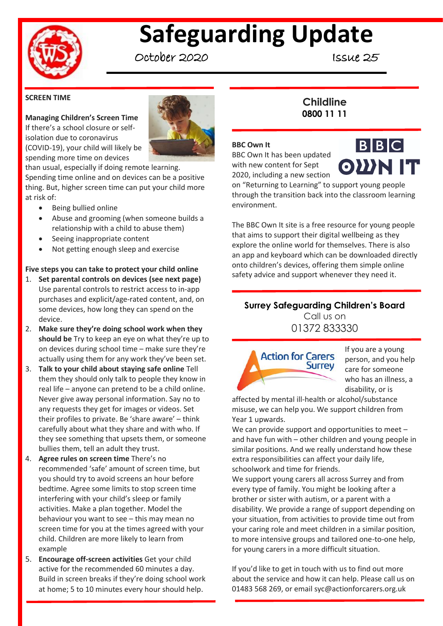

# **Safeguarding Update**

October 2020 Issue 25

#### **SCREEN TIME**

## **Managing Children's Screen Time**

If there's a school closure or selfisolation due to coronavirus (COVID-19), your child will likely be spending more time on devices



than usual, especially if doing remote learning. Spending time online and on devices can be a positive thing. But, higher screen time can put your child more at risk of:

- Being bullied online
- Abuse and grooming (when someone builds a relationship with a child to abuse them)
- Seeing inappropriate content
- Not getting enough sleep and exercise

#### **Five steps you can take to protect your child online**

- 1. **Set parental controls on devices (see next page)** Use parental controls to restrict access to in-app purchases and explicit/age-rated content, and, on some devices, how long they can spend on the device.
- 2. **Make sure they're doing school work when they should be** Try to keep an eye on what they're up to on devices during school time – make sure they're actually using them for any work they've been set.
- 3. **Talk to your child about staying safe online** Tell them they should only talk to people they know in real life – anyone can pretend to be a child online. Never give away personal information. Say no to any requests they get for images or videos. Set their profiles to private. Be 'share aware' – think carefully about what they share and with who. If they see something that upsets them, or someone bullies them, tell an adult they trust.
- 4. **Agree rules on screen time** There's no recommended 'safe' amount of screen time, but you should try to avoid screens an hour before bedtime. Agree some limits to stop screen time interfering with your child's sleep or family activities. Make a plan together. Model the behaviour you want to see – this may mean no screen time for you at the times agreed with your child. Children are more likely to learn from example
- 5. **Encourage off-screen activities** Get your child active for the recommended 60 minutes a day. Build in screen breaks if they're doing school work at home; 5 to 10 minutes every hour should help.

## **Childline 0800 11 11**

#### **BBC Own It**

BBC Own It has been updated with new content for Sept 2020, including a new section



on "Returning to Learning" to support young people through the transition back into the classroom learning environment.

The BBC Own It site is a free resource for young people that aims to support their digital wellbeing as they explore the online world for themselves. There is also an app and keyboard which can be downloaded directly onto children's devices, offering them simple online safety advice and support whenever they need it.

## **Surrey Safeguarding Children's Board** Call us on

01372 833330



If you are a young person, and you help care for someone who has an illness, a disability, or is

affected by mental ill-health or alcohol/substance misuse, we can help you. We support children from Year 1 upwards.

We can provide support and opportunities to meet – and have fun with – other children and young people in similar positions. And we really understand how these extra responsibilities can affect your daily life, schoolwork and time for friends.

We support young carers all across Surrey and from every type of family. You might be looking after a brother or sister with autism, or a parent with a disability. We provide a range of support depending on your situation, from activities to provide time out from your caring role and meet children in a similar position, to more intensive groups and tailored one-to-one help, for young carers in a more difficult situation.

If you'd like to get in touch with us to find out more about the service and how it can help. Please call us on 01483 568 269, or email syc@actionforcarers.org.uk